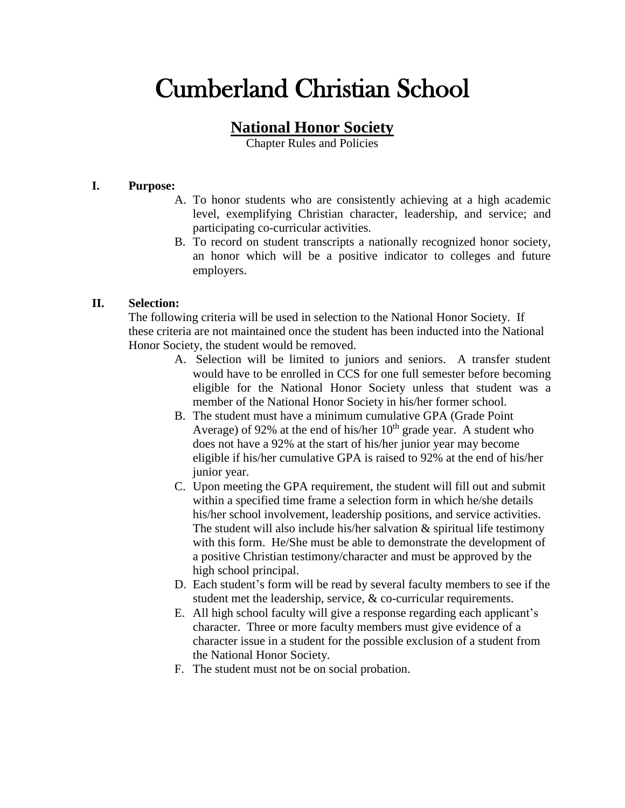# Cumberland Christian School

## **National Honor Society**

Chapter Rules and Policies

#### **I. Purpose:**

- A. To honor students who are consistently achieving at a high academic level, exemplifying Christian character, leadership, and service; and participating co-curricular activities.
- B. To record on student transcripts a nationally recognized honor society, an honor which will be a positive indicator to colleges and future employers.

### **II. Selection:**

The following criteria will be used in selection to the National Honor Society. If these criteria are not maintained once the student has been inducted into the National Honor Society, the student would be removed.

- A. Selection will be limited to juniors and seniors. A transfer student would have to be enrolled in CCS for one full semester before becoming eligible for the National Honor Society unless that student was a member of the National Honor Society in his/her former school.
- B. The student must have a minimum cumulative GPA (Grade Point Average) of 92% at the end of his/her  $10<sup>th</sup>$  grade year. A student who does not have a 92% at the start of his/her junior year may become eligible if his/her cumulative GPA is raised to 92% at the end of his/her junior year.
- C. Upon meeting the GPA requirement, the student will fill out and submit within a specified time frame a selection form in which he/she details his/her school involvement, leadership positions, and service activities. The student will also include his/her salvation  $\&$  spiritual life testimony with this form. He/She must be able to demonstrate the development of a positive Christian testimony/character and must be approved by the high school principal.
- D. Each student's form will be read by several faculty members to see if the student met the leadership, service, & co-curricular requirements.
- E. All high school faculty will give a response regarding each applicant's character. Three or more faculty members must give evidence of a character issue in a student for the possible exclusion of a student from the National Honor Society.
- F. The student must not be on social probation.